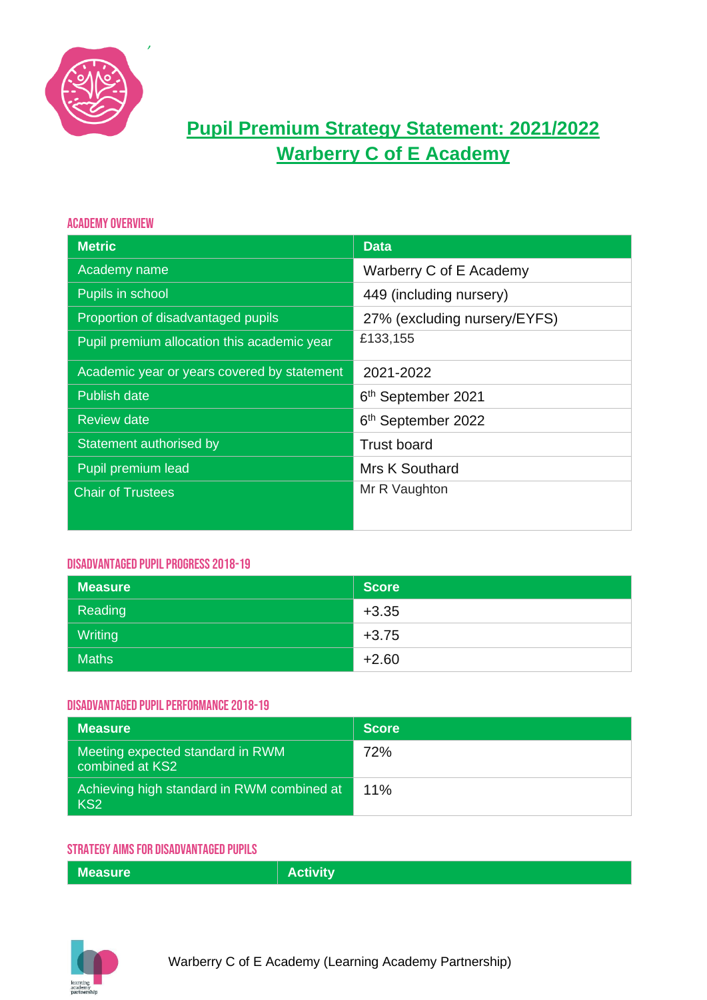

# **Pupil Premium Strategy Statement: 2021/2022 Warberry C of E Academy**

### Academy Overview

| <b>Metric</b>                               | <b>Data</b>                    |
|---------------------------------------------|--------------------------------|
| Academy name                                | Warberry C of E Academy        |
| Pupils in school                            | 449 (including nursery)        |
| Proportion of disadvantaged pupils          | 27% (excluding nursery/EYFS)   |
| Pupil premium allocation this academic year | £133,155                       |
| Academic year or years covered by statement | 2021-2022                      |
| <b>Publish date</b>                         | 6 <sup>th</sup> September 2021 |
| <b>Review date</b>                          | 6 <sup>th</sup> September 2022 |
| Statement authorised by                     | <b>Trust board</b>             |
| Pupil premium lead                          | Mrs K Southard                 |
| <b>Chair of Trustees</b>                    | Mr R Vaughton                  |

### Disadvantaged Pupil Progress 2018-19

| <b>Measure</b> | Score   |
|----------------|---------|
| Reading        | $+3.35$ |
| Writing        | $+3.75$ |
| <b>Maths</b>   | $+2.60$ |

### Disadvantaged Pupil Performance 2018-19

| Measure                                                       | <b>Score</b> |
|---------------------------------------------------------------|--------------|
| Meeting expected standard in RWM<br>combined at KS2           | 72%          |
| Achieving high standard in RWM combined at<br>KS <sub>2</sub> | 11%          |

## Strategy Aims for Disadvantaged Pupils

| <b>Measure</b> | <b>Activity</b> |
|----------------|-----------------|

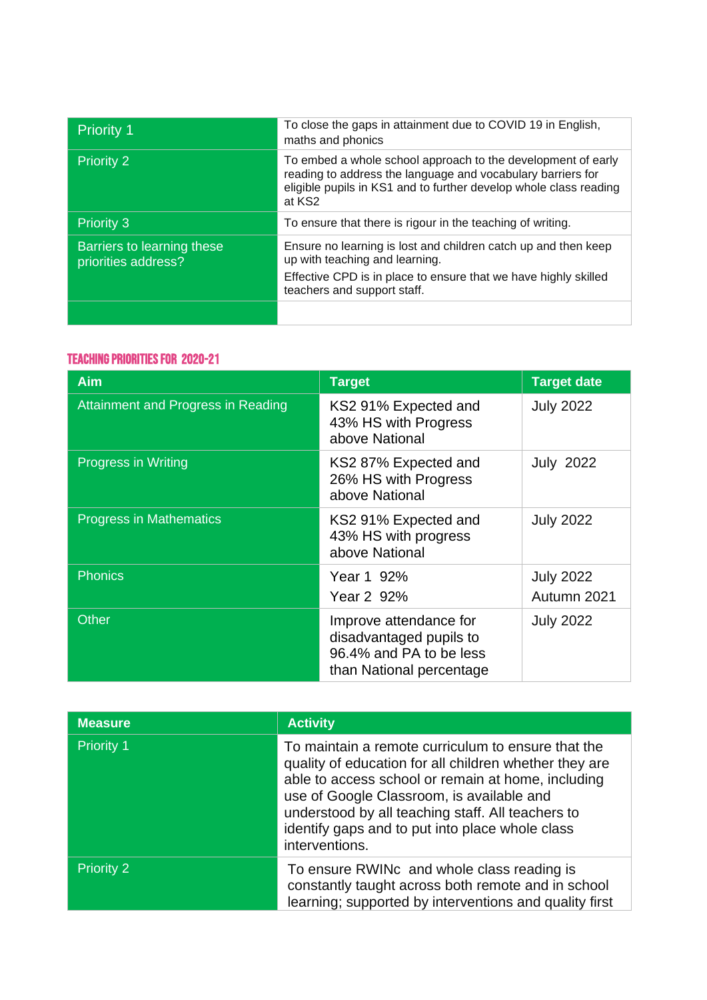| Priority 1                                        | To close the gaps in attainment due to COVID 19 in English,<br>maths and phonics                                                                                                                                       |
|---------------------------------------------------|------------------------------------------------------------------------------------------------------------------------------------------------------------------------------------------------------------------------|
| <b>Priority 2</b>                                 | To embed a whole school approach to the development of early<br>reading to address the language and vocabulary barriers for<br>eligible pupils in KS1 and to further develop whole class reading<br>at KS <sub>2</sub> |
| <b>Priority 3</b>                                 | To ensure that there is rigour in the teaching of writing.                                                                                                                                                             |
| Barriers to learning these<br>priorities address? | Ensure no learning is lost and children catch up and then keep<br>up with teaching and learning.<br>Effective CPD is in place to ensure that we have highly skilled<br>teachers and support staff.                     |
|                                                   |                                                                                                                                                                                                                        |

# Teaching Priorities for 2020-21

| <b>Aim</b>                                | <b>Target</b>                                                                                            | <b>Target date</b>              |
|-------------------------------------------|----------------------------------------------------------------------------------------------------------|---------------------------------|
| <b>Attainment and Progress in Reading</b> | KS2 91% Expected and<br>43% HS with Progress<br>above National                                           | <b>July 2022</b>                |
| <b>Progress in Writing</b>                | KS2 87% Expected and<br>26% HS with Progress<br>above National                                           | <b>July 2022</b>                |
| <b>Progress in Mathematics</b>            | KS2 91% Expected and<br>43% HS with progress<br>above National                                           | <b>July 2022</b>                |
| <b>Phonics</b>                            | Year 1 92%<br>Year 2 92%                                                                                 | <b>July 2022</b><br>Autumn 2021 |
| <b>Other</b>                              | Improve attendance for<br>disadvantaged pupils to<br>96.4% and PA to be less<br>than National percentage | <b>July 2022</b>                |

| <b>Measure</b>    | <b>Activity</b>                                                                                                                                                                                                                                                                                                                           |
|-------------------|-------------------------------------------------------------------------------------------------------------------------------------------------------------------------------------------------------------------------------------------------------------------------------------------------------------------------------------------|
| <b>Priority 1</b> | To maintain a remote curriculum to ensure that the<br>quality of education for all children whether they are<br>able to access school or remain at home, including<br>use of Google Classroom, is available and<br>understood by all teaching staff. All teachers to<br>identify gaps and to put into place whole class<br>interventions. |
| <b>Priority 2</b> | To ensure RWINc and whole class reading is<br>constantly taught across both remote and in school<br>learning; supported by interventions and quality first                                                                                                                                                                                |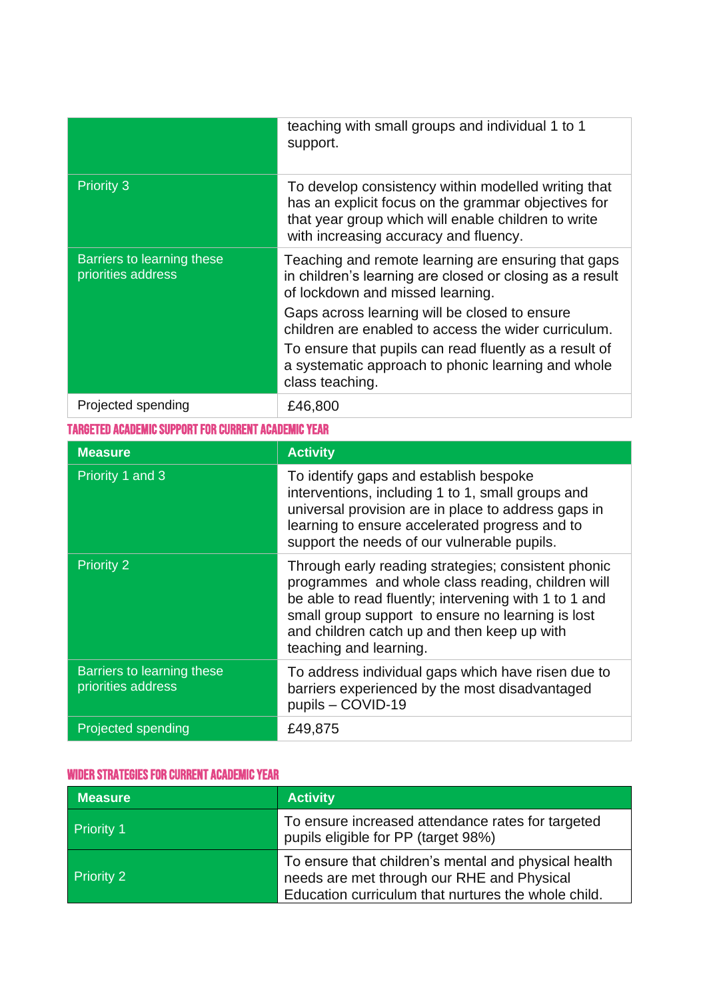|                                                  | teaching with small groups and individual 1 to 1<br>support.                                                                                                                                                                                                                                                                                                                                    |
|--------------------------------------------------|-------------------------------------------------------------------------------------------------------------------------------------------------------------------------------------------------------------------------------------------------------------------------------------------------------------------------------------------------------------------------------------------------|
| <b>Priority 3</b>                                | To develop consistency within modelled writing that<br>has an explicit focus on the grammar objectives for<br>that year group which will enable children to write<br>with increasing accuracy and fluency.                                                                                                                                                                                      |
| Barriers to learning these<br>priorities address | Teaching and remote learning are ensuring that gaps<br>in children's learning are closed or closing as a result<br>of lockdown and missed learning.<br>Gaps across learning will be closed to ensure<br>children are enabled to access the wider curriculum.<br>To ensure that pupils can read fluently as a result of<br>a systematic approach to phonic learning and whole<br>class teaching. |
| Projected spending                               | £46,800                                                                                                                                                                                                                                                                                                                                                                                         |

# Targeted Academic Support for Current Academic Year

| <b>Measure</b>                                   | <b>Activity</b>                                                                                                                                                                                                                                                                                 |
|--------------------------------------------------|-------------------------------------------------------------------------------------------------------------------------------------------------------------------------------------------------------------------------------------------------------------------------------------------------|
| Priority 1 and 3                                 | To identify gaps and establish bespoke<br>interventions, including 1 to 1, small groups and<br>universal provision are in place to address gaps in<br>learning to ensure accelerated progress and to<br>support the needs of our vulnerable pupils.                                             |
| <b>Priority 2</b>                                | Through early reading strategies; consistent phonic<br>programmes and whole class reading, children will<br>be able to read fluently; intervening with 1 to 1 and<br>small group support to ensure no learning is lost<br>and children catch up and then keep up with<br>teaching and learning. |
| Barriers to learning these<br>priorities address | To address individual gaps which have risen due to<br>barriers experienced by the most disadvantaged<br>pupils - COVID-19                                                                                                                                                                       |
| Projected spending                               | £49,875                                                                                                                                                                                                                                                                                         |

# Wider Strategies for Current Academic Year

| <b>Measure</b>    | <b>Activity</b>                                                                                                                                           |
|-------------------|-----------------------------------------------------------------------------------------------------------------------------------------------------------|
| <b>Priority 1</b> | To ensure increased attendance rates for targeted<br>pupils eligible for PP (target 98%)                                                                  |
| <b>Priority 2</b> | To ensure that children's mental and physical health<br>needs are met through our RHE and Physical<br>Education curriculum that nurtures the whole child. |